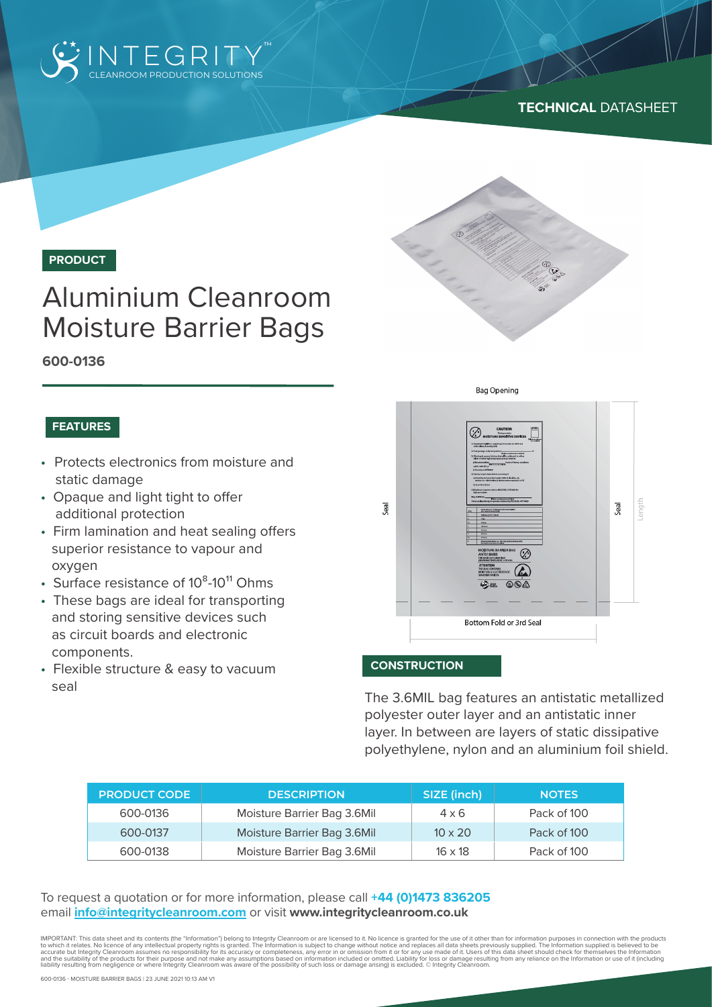

## **TECHNICAL** DATASHEET



**PRODUCT**

# Aluminium Cleanroom Moisture Barrier Bags

**600-0136**

#### **FEATURES**

- Protects electronics from moisture and static damage
- Opaque and light tight to offer additional protection
- Firm lamination and heat sealing offers superior resistance to vapour and oxygen
- Surface resistance of  $10^8$ -10<sup>11</sup> Ohms
- These bags are ideal for transporting and storing sensitive devices such as circuit boards and electronic components.
- Flexible structure & easy to vacuum seal



#### **CONSTRUCTION**

The 3.6MIL bag features an antistatic metallized polyester outer layer and an antistatic inner layer. In between are layers of static dissipative polyethylene, nylon and an aluminium foil shield.

| <b>PRODUCT CODE</b> | <b>DESCRIPTION</b>          | SIZE (inch)    | <b>NOTES</b> |
|---------------------|-----------------------------|----------------|--------------|
| 600-0136            | Moisture Barrier Bag 3.6Mil | $4 \times 6$   | Pack of 100  |
| 600-0137            | Moisture Barrier Bag 3.6Mil | $10 \times 20$ | Pack of 100  |
| 600-0138            | Moisture Barrier Bag 3.6Mil | $16 \times 18$ | Pack of 100  |

To request a quotation or for more information, please call **+44 (0)1473 836205** email **info@integritycleanroom.com** or visit **www.integritycleanroom.co.uk**

IMPORTANT: This data sheet and its contents (the "Information") belong to Integrity Cleanroom or are licensed to it. No licence is granted for the use of it other than for information purposes in connection with the products to which it relates. No licence of any intellectual property rights is granted. The Information is subject to change without notice and replaces all data sheets previously supplied. The Information supplied is believed to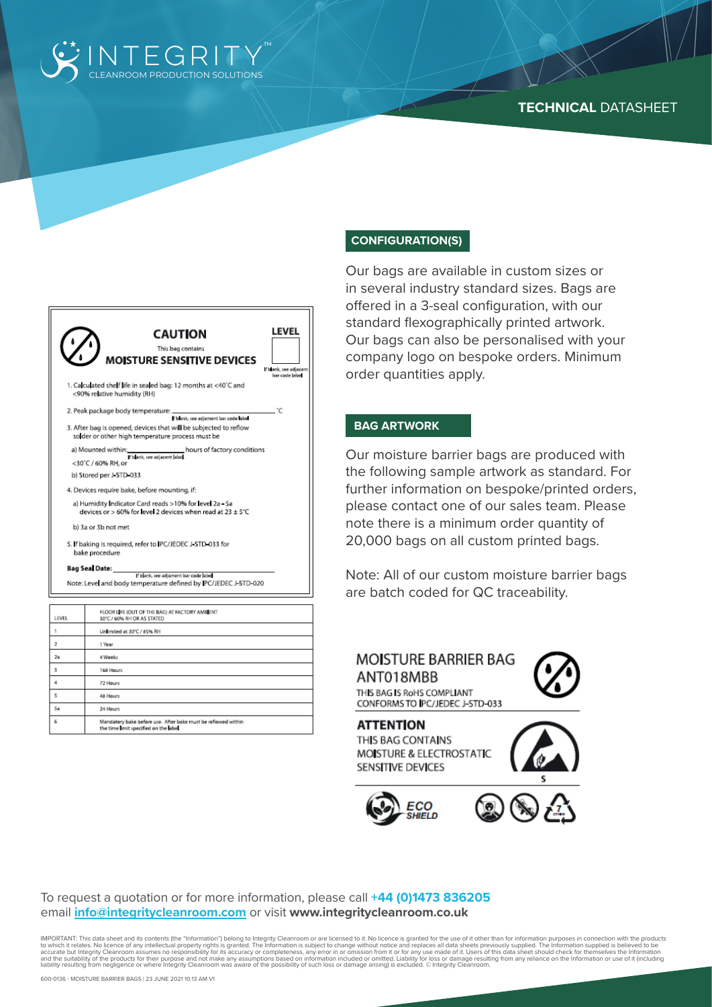

#### **TECHNICAL** DATASHEET

| LEVEL<br><b>CAUTION</b><br>This bag contains<br>MOISTURE SENSITIVE DEVICES                                                                                   |
|--------------------------------------------------------------------------------------------------------------------------------------------------------------|
| If Islank, see adjacent                                                                                                                                      |
| bar code labe<br>1. Calculated shelf life in sealed bag: 12 months at <40°C and<br><90% relative humidity (RH)                                               |
| 2. Peak package body temperature: _______<br>۰c                                                                                                              |
| f blank, see adjament bar code label<br>3. After bag is opened, devices that will be subjected to reflow<br>solder or other high temperature process must be |
| hours of factory conditions<br>a) Mounted within:<br>If blank, see adjacent label<br><30°C / 60% RH, or                                                      |
| b) Stored per J-STD-033                                                                                                                                      |
| 4. Devices require bake, before mounting, if:                                                                                                                |
| a) Humidity Indicator Card reads >10% for level 2a - 5a<br>devices or > 60% for level 2 devices when read at 23 $\pm$ 5°C                                    |
| b) 3a or 3b not met                                                                                                                                          |
| 5. If baking is required, refer to IPC/JEDEC J STD 033 for<br>bake procedure                                                                                 |
| <b>Bag Seal Date:</b><br>If blank, see adjament bar code labe<br>Note: Level and body temperature defined by JPC/JEDEC J-STD-020                             |

| <b>LEVEL</b>   | FLOOR LIFE (OUT OF THE BAG) AT FACTORY AMBIENT<br>30°C / 60% RH OR AS STATED                            |
|----------------|---------------------------------------------------------------------------------------------------------|
|                | Unlimited at 30°C / 85% RH                                                                              |
| $\overline{2}$ | 1 Year                                                                                                  |
| 2a             | 4 Weeks                                                                                                 |
| 3              | 168 Hours                                                                                               |
| 4              | 72 Hours                                                                                                |
| 5              | 48 Hours                                                                                                |
| Sa             | 24 Hours                                                                                                |
| 6              | Mandatory bake before use. After bake must be reflowed within<br>the time limit specified on the label. |

#### **CONFIGURATION(S)**

Our bags are available in custom sizes or in several industry standard sizes. Bags are offered in a 3-seal configuration, with our standard flexographically printed artwork. Our bags can also be personalised with your company logo on bespoke orders. Minimum order quantities apply.

#### **BAG ARTWORK**

Our moisture barrier bags are produced with the following sample artwork as standard. For further information on bespoke/printed orders, please contact one of our sales team. Please note there is a minimum order quantity of 20,000 bags on all custom printed bags.

Note: All of our custom moisture barrier bags are batch coded for QC traceability.

## MOISTURE BARRIER BAG ANT018MBB

THIS BAG IS ROHS COMPLIANT CONFORMS TO IPC/JEDEC J-STD-033

**ATTENTION** THIS BAG CONTAINS MOISTURE & ELECTROSTATIC SENSITIVE DEVICES







To request a quotation or for more information, please call **+44 (0)1473 836205** email **info@integritycleanroom.com** or visit **www.integritycleanroom.co.uk**

IMPORTANT: This data sheet and its contents (the "Information") belong to Integrity Cleanroom or are licensed to it. No licence is granted for the use of it other than for information purposes in connection with the products to which it relates. No licence of any intellectual property rights is granted. The Information is subject to change without notice and replaces all data sheets previously supplied. The Information supplied is believed to